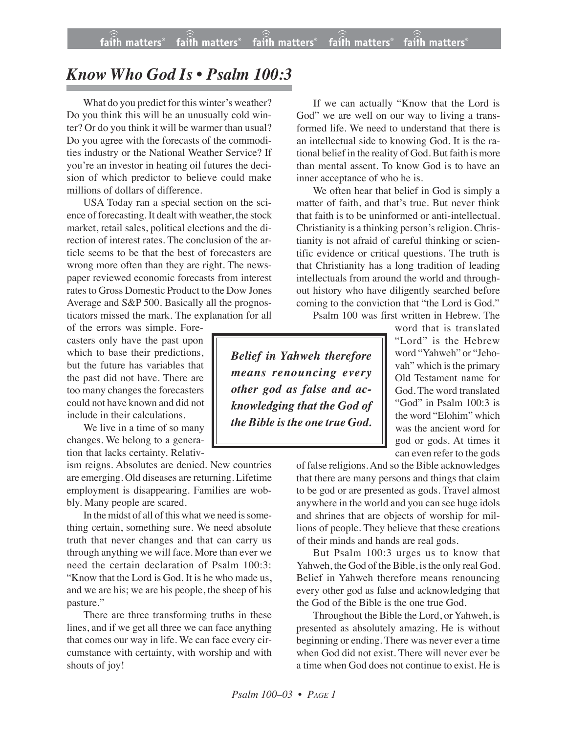## *Know Who God Is • Psalm 100:3*

What do you predict for this winter's weather? Do you think this will be an unusually cold winter? Or do you think it will be warmer than usual? Do you agree with the forecasts of the commodities industry or the National Weather Service? If you're an investor in heating oil futures the decision of which predictor to believe could make millions of dollars of difference.

USA Today ran a special section on the science of forecasting. It dealt with weather, the stock market, retail sales, political elections and the direction of interest rates. The conclusion of the article seems to be that the best of forecasters are wrong more often than they are right. The newspaper reviewed economic forecasts from interest rates to Gross Domestic Product to the Dow Jones Average and S&P 500. Basically all the prognosticators missed the mark. The explanation for all

of the errors was simple. Forecasters only have the past upon which to base their predictions, but the future has variables that the past did not have. There are too many changes the forecasters could not have known and did not include in their calculations.

We live in a time of so many changes. We belong to a generation that lacks certainty. Relativ-

ism reigns. Absolutes are denied. New countries are emerging. Old diseases are returning. Lifetime employment is disappearing. Families are wobbly. Many people are scared.

In the midst of all of this what we need is something certain, something sure. We need absolute truth that never changes and that can carry us through anything we will face. More than ever we need the certain declaration of Psalm 100:3: "Know that the Lord is God. It is he who made us, and we are his; we are his people, the sheep of his pasture."

There are three transforming truths in these lines, and if we get all three we can face anything that comes our way in life. We can face every circumstance with certainty, with worship and with shouts of joy!

If we can actually "Know that the Lord is God" we are well on our way to living a transformed life. We need to understand that there is an intellectual side to knowing God. It is the rational belief in the reality of God. But faith is more than mental assent. To know God is to have an inner acceptance of who he is.

We often hear that belief in God is simply a matter of faith, and that's true. But never think that faith is to be uninformed or anti-intellectual. Christianity is a thinking person's religion. Christianity is not afraid of careful thinking or scientific evidence or critical questions. The truth is that Christianity has a long tradition of leading intellectuals from around the world and throughout history who have diligently searched before coming to the conviction that "the Lord is God."

Psalm 100 was first written in Hebrew. The

*Belief in Yahweh therefore means renouncing every other god as false and acknowledging that the God of the Bible is the one true God.*

word that is translated "Lord" is the Hebrew word "Yahweh" or "Jehovah" which is the primary Old Testament name for God. The word translated "God" in Psalm 100:3 is the word "Elohim" which was the ancient word for god or gods. At times it can even refer to the gods

of false religions. And so the Bible acknowledges that there are many persons and things that claim to be god or are presented as gods. Travel almost anywhere in the world and you can see huge idols and shrines that are objects of worship for millions of people. They believe that these creations of their minds and hands are real gods.

But Psalm 100:3 urges us to know that Yahweh, the God of the Bible, is the only real God. Belief in Yahweh therefore means renouncing every other god as false and acknowledging that the God of the Bible is the one true God.

Throughout the Bible the Lord, or Yahweh, is presented as absolutely amazing. He is without beginning or ending. There was never ever a time when God did not exist. There will never ever be a time when God does not continue to exist. He is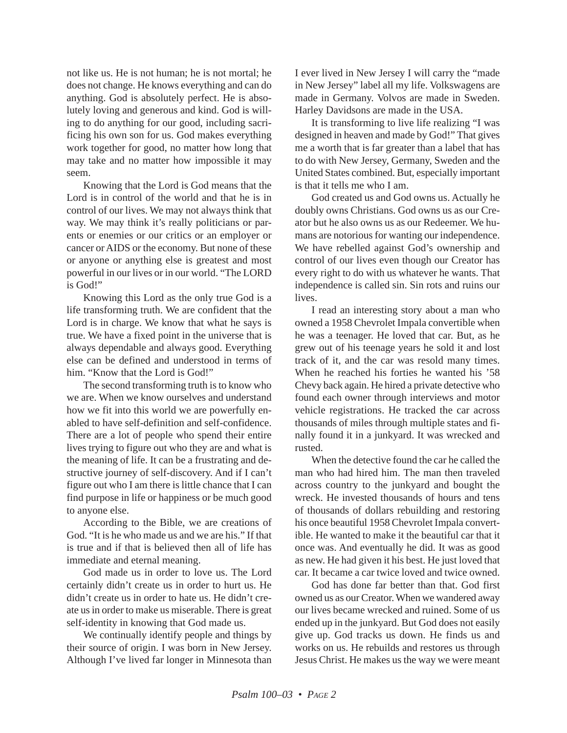not like us. He is not human; he is not mortal; he does not change. He knows everything and can do anything. God is absolutely perfect. He is absolutely loving and generous and kind. God is willing to do anything for our good, including sacrificing his own son for us. God makes everything work together for good, no matter how long that may take and no matter how impossible it may seem.

Knowing that the Lord is God means that the Lord is in control of the world and that he is in control of our lives. We may not always think that way. We may think it's really politicians or parents or enemies or our critics or an employer or cancer or AIDS or the economy. But none of these or anyone or anything else is greatest and most powerful in our lives or in our world. "The LORD is God!"

Knowing this Lord as the only true God is a life transforming truth. We are confident that the Lord is in charge. We know that what he says is true. We have a fixed point in the universe that is always dependable and always good. Everything else can be defined and understood in terms of him. "Know that the Lord is God!"

The second transforming truth is to know who we are. When we know ourselves and understand how we fit into this world we are powerfully enabled to have self-definition and self-confidence. There are a lot of people who spend their entire lives trying to figure out who they are and what is the meaning of life. It can be a frustrating and destructive journey of self-discovery. And if I can't figure out who I am there is little chance that I can find purpose in life or happiness or be much good to anyone else.

According to the Bible, we are creations of God. "It is he who made us and we are his." If that is true and if that is believed then all of life has immediate and eternal meaning.

God made us in order to love us. The Lord certainly didn't create us in order to hurt us. He didn't create us in order to hate us. He didn't create us in order to make us miserable. There is great self-identity in knowing that God made us.

We continually identify people and things by their source of origin. I was born in New Jersey. Although I've lived far longer in Minnesota than I ever lived in New Jersey I will carry the "made in New Jersey" label all my life. Volkswagens are made in Germany. Volvos are made in Sweden. Harley Davidsons are made in the USA.

It is transforming to live life realizing "I was designed in heaven and made by God!" That gives me a worth that is far greater than a label that has to do with New Jersey, Germany, Sweden and the United States combined. But, especially important is that it tells me who I am.

God created us and God owns us. Actually he doubly owns Christians. God owns us as our Creator but he also owns us as our Redeemer. We humans are notorious for wanting our independence. We have rebelled against God's ownership and control of our lives even though our Creator has every right to do with us whatever he wants. That independence is called sin. Sin rots and ruins our lives.

I read an interesting story about a man who owned a 1958 Chevrolet Impala convertible when he was a teenager. He loved that car. But, as he grew out of his teenage years he sold it and lost track of it, and the car was resold many times. When he reached his forties he wanted his '58 Chevy back again. He hired a private detective who found each owner through interviews and motor vehicle registrations. He tracked the car across thousands of miles through multiple states and finally found it in a junkyard. It was wrecked and rusted.

When the detective found the car he called the man who had hired him. The man then traveled across country to the junkyard and bought the wreck. He invested thousands of hours and tens of thousands of dollars rebuilding and restoring his once beautiful 1958 Chevrolet Impala convertible. He wanted to make it the beautiful car that it once was. And eventually he did. It was as good as new. He had given it his best. He just loved that car. It became a car twice loved and twice owned.

God has done far better than that. God first owned us as our Creator. When we wandered away our lives became wrecked and ruined. Some of us ended up in the junkyard. But God does not easily give up. God tracks us down. He finds us and works on us. He rebuilds and restores us through Jesus Christ. He makes us the way we were meant